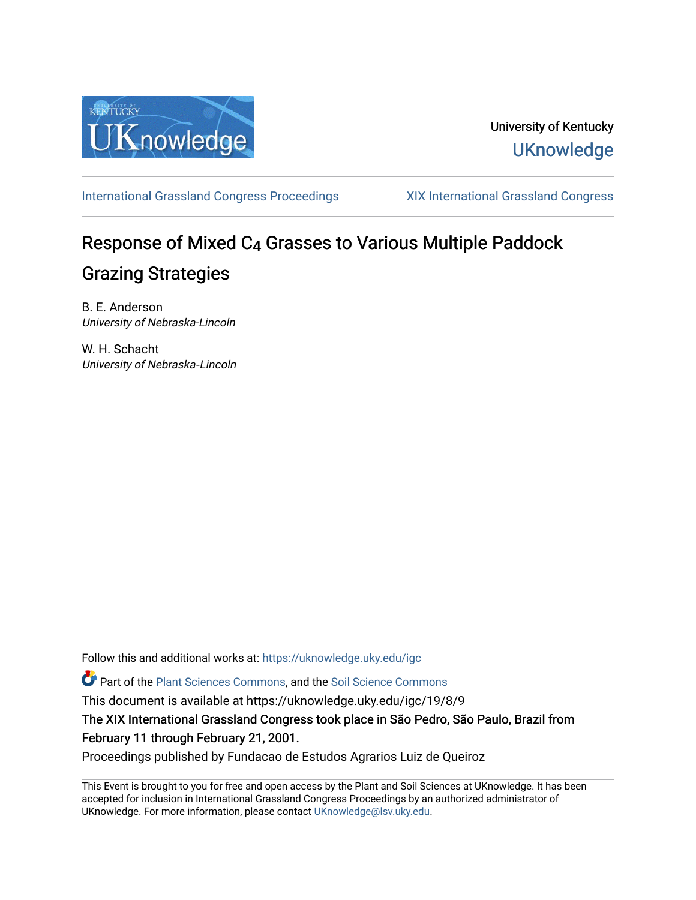

### University of Kentucky **UKnowledge**

[International Grassland Congress Proceedings](https://uknowledge.uky.edu/igc) [XIX International Grassland Congress](https://uknowledge.uky.edu/igc/19) 

# Response of Mixed C4 Grasses to Various Multiple Paddock Grazing Strategies

B. E. Anderson University of Nebraska-Lincoln

W. H. Schacht University of Nebraska‐Lincoln

Follow this and additional works at: [https://uknowledge.uky.edu/igc](https://uknowledge.uky.edu/igc?utm_source=uknowledge.uky.edu%2Figc%2F19%2F8%2F9&utm_medium=PDF&utm_campaign=PDFCoverPages) 

Part of the [Plant Sciences Commons](http://network.bepress.com/hgg/discipline/102?utm_source=uknowledge.uky.edu%2Figc%2F19%2F8%2F9&utm_medium=PDF&utm_campaign=PDFCoverPages), and the [Soil Science Commons](http://network.bepress.com/hgg/discipline/163?utm_source=uknowledge.uky.edu%2Figc%2F19%2F8%2F9&utm_medium=PDF&utm_campaign=PDFCoverPages) 

This document is available at https://uknowledge.uky.edu/igc/19/8/9

The XIX International Grassland Congress took place in São Pedro, São Paulo, Brazil from February 11 through February 21, 2001.

Proceedings published by Fundacao de Estudos Agrarios Luiz de Queiroz

This Event is brought to you for free and open access by the Plant and Soil Sciences at UKnowledge. It has been accepted for inclusion in International Grassland Congress Proceedings by an authorized administrator of UKnowledge. For more information, please contact [UKnowledge@lsv.uky.edu](mailto:UKnowledge@lsv.uky.edu).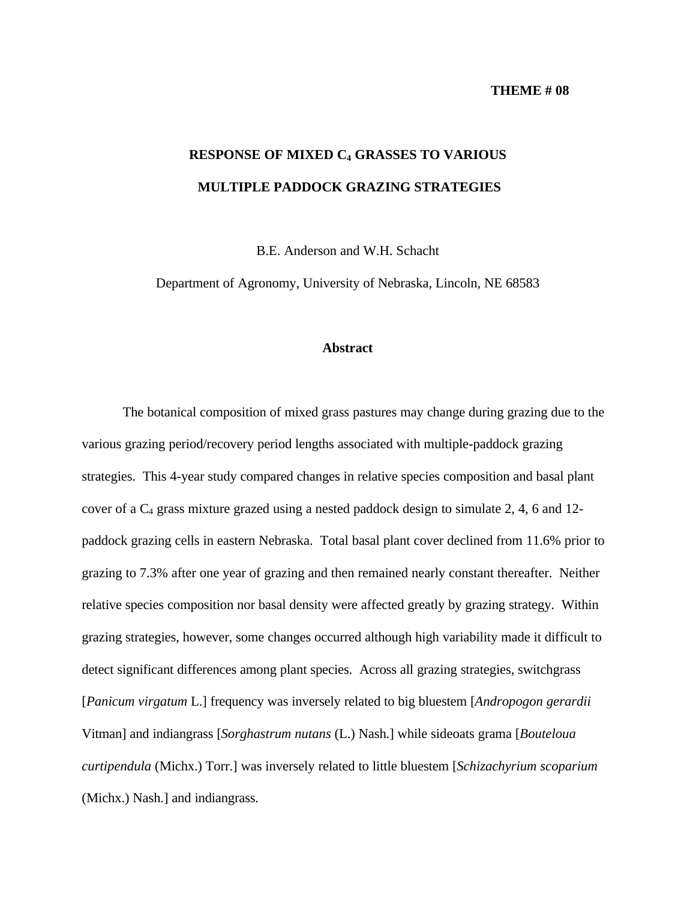#### **THEME # 08**

## **RESPONSE OF MIXED C4 GRASSES TO VARIOUS MULTIPLE PADDOCK GRAZING STRATEGIES**

B.E. Anderson and W.H. Schacht

Department of Agronomy, University of Nebraska, Lincoln, NE 68583

#### **Abstract**

The botanical composition of mixed grass pastures may change during grazing due to the various grazing period/recovery period lengths associated with multiple-paddock grazing strategies. This 4-year study compared changes in relative species composition and basal plant cover of a  $C_4$  grass mixture grazed using a nested paddock design to simulate 2, 4, 6 and 12paddock grazing cells in eastern Nebraska. Total basal plant cover declined from 11.6% prior to grazing to 7.3% after one year of grazing and then remained nearly constant thereafter. Neither relative species composition nor basal density were affected greatly by grazing strategy. Within grazing strategies, however, some changes occurred although high variability made it difficult to detect significant differences among plant species. Across all grazing strategies, switchgrass [*Panicum virgatum* L.] frequency was inversely related to big bluestem [*Andropogon gerardii* Vitman] and indiangrass [*Sorghastrum nutans* (L.) Nash.] while sideoats grama [*Bouteloua curtipendula* (Michx.) Torr.] was inversely related to little bluestem [*Schizachyrium scoparium* (Michx.) Nash.] and indiangrass.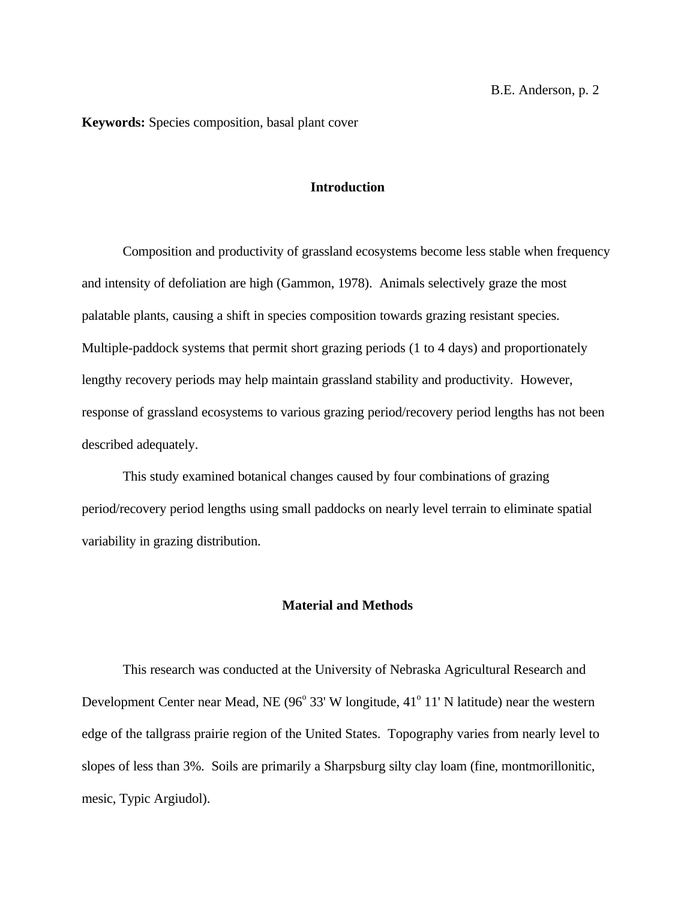**Keywords:** Species composition, basal plant cover

#### **Introduction**

Composition and productivity of grassland ecosystems become less stable when frequency and intensity of defoliation are high (Gammon, 1978). Animals selectively graze the most palatable plants, causing a shift in species composition towards grazing resistant species. Multiple-paddock systems that permit short grazing periods (1 to 4 days) and proportionately lengthy recovery periods may help maintain grassland stability and productivity. However, response of grassland ecosystems to various grazing period/recovery period lengths has not been described adequately.

This study examined botanical changes caused by four combinations of grazing period/recovery period lengths using small paddocks on nearly level terrain to eliminate spatial variability in grazing distribution.

#### **Material and Methods**

This research was conducted at the University of Nebraska Agricultural Research and Development Center near Mead, NE (96° 33' W longitude, 41° 11' N latitude) near the western edge of the tallgrass prairie region of the United States. Topography varies from nearly level to slopes of less than 3%. Soils are primarily a Sharpsburg silty clay loam (fine, montmorillonitic, mesic, Typic Argiudol).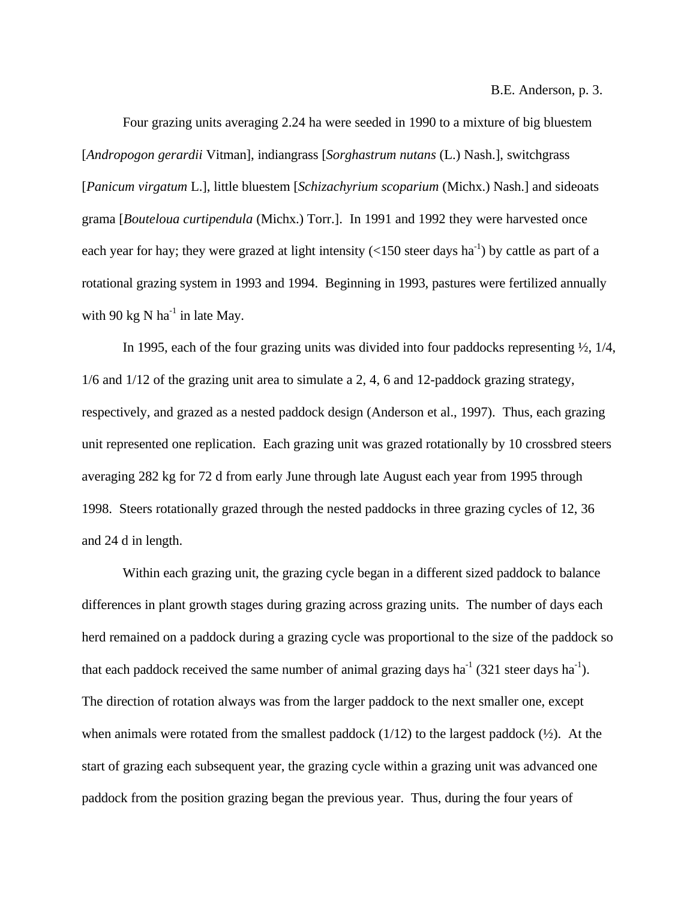B.E. Anderson, p. 3.

Four grazing units averaging 2.24 ha were seeded in 1990 to a mixture of big bluestem [*Andropogon gerardii* Vitman], indiangrass [*Sorghastrum nutans* (L.) Nash.], switchgrass [*Panicum virgatum* L.], little bluestem [*Schizachyrium scoparium* (Michx.) Nash.] and sideoats grama [*Bouteloua curtipendula* (Michx.) Torr.]. In 1991 and 1992 they were harvested once each year for hay; they were grazed at light intensity  $(<150$  steer days ha<sup>-1</sup>) by cattle as part of a rotational grazing system in 1993 and 1994. Beginning in 1993, pastures were fertilized annually with 90 kg N  $ha^{-1}$  in late Mav.

In 1995, each of the four grazing units was divided into four paddocks representing ½, 1/4, 1/6 and 1/12 of the grazing unit area to simulate a 2, 4, 6 and 12-paddock grazing strategy, respectively, and grazed as a nested paddock design (Anderson et al., 1997). Thus, each grazing unit represented one replication. Each grazing unit was grazed rotationally by 10 crossbred steers averaging 282 kg for 72 d from early June through late August each year from 1995 through 1998. Steers rotationally grazed through the nested paddocks in three grazing cycles of 12, 36 and 24 d in length.

Within each grazing unit, the grazing cycle began in a different sized paddock to balance differences in plant growth stages during grazing across grazing units. The number of days each herd remained on a paddock during a grazing cycle was proportional to the size of the paddock so that each paddock received the same number of animal grazing days ha<sup>-1</sup> (321 steer days ha<sup>-1</sup>). The direction of rotation always was from the larger paddock to the next smaller one, except when animals were rotated from the smallest paddock  $(1/12)$  to the largest paddock  $(½)$ . At the start of grazing each subsequent year, the grazing cycle within a grazing unit was advanced one paddock from the position grazing began the previous year. Thus, during the four years of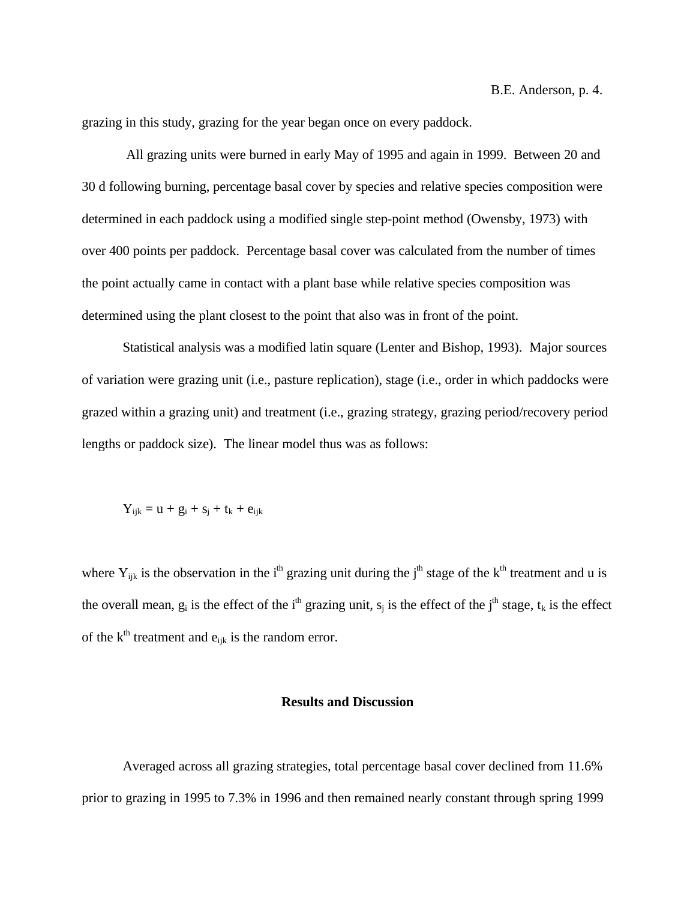grazing in this study, grazing for the year began once on every paddock.

 All grazing units were burned in early May of 1995 and again in 1999. Between 20 and 30 d following burning, percentage basal cover by species and relative species composition were determined in each paddock using a modified single step-point method (Owensby, 1973) with over 400 points per paddock. Percentage basal cover was calculated from the number of times the point actually came in contact with a plant base while relative species composition was determined using the plant closest to the point that also was in front of the point.

Statistical analysis was a modified latin square (Lenter and Bishop, 1993). Major sources of variation were grazing unit (i.e., pasture replication), stage (i.e., order in which paddocks were grazed within a grazing unit) and treatment (i.e., grazing strategy, grazing period/recovery period lengths or paddock size). The linear model thus was as follows:

 $Y_{iik} = u + g_i + s_j + t_k + e_{ijk}$ 

where  $Y_{ijk}$  is the observation in the i<sup>th</sup> grazing unit during the j<sup>th</sup> stage of the k<sup>th</sup> treatment and u is the overall mean,  $g_i$  is the effect of the i<sup>th</sup> grazing unit,  $s_j$  is the effect of the j<sup>th</sup> stage,  $t_k$  is the effect of the  $k^{\text{th}}$  treatment and  $e_{ijk}$  is the random error.

#### **Results and Discussion**

Averaged across all grazing strategies, total percentage basal cover declined from 11.6% prior to grazing in 1995 to 7.3% in 1996 and then remained nearly constant through spring 1999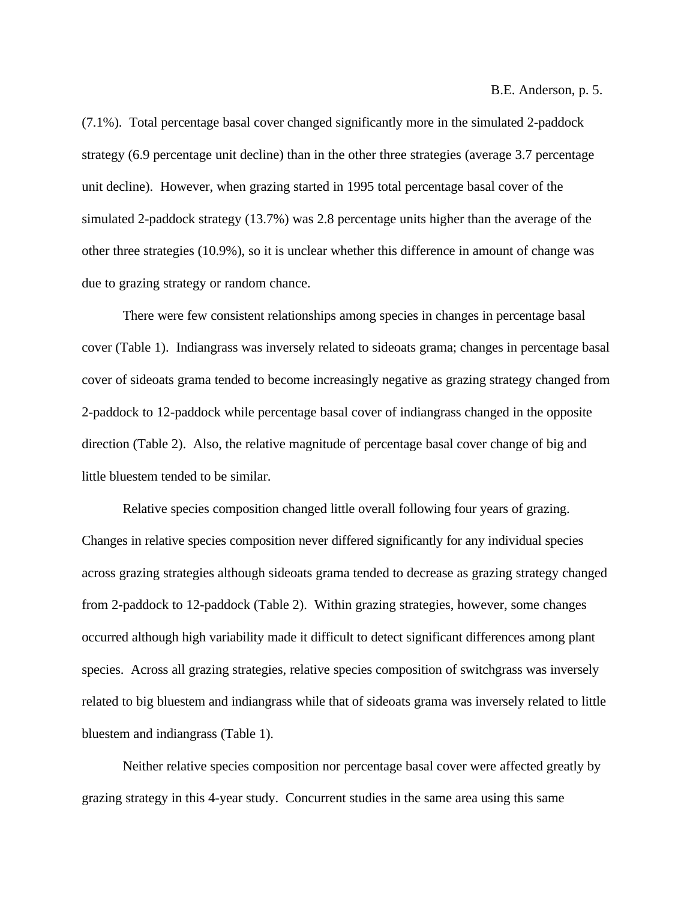B.E. Anderson, p. 5.

(7.1%). Total percentage basal cover changed significantly more in the simulated 2-paddock strategy (6.9 percentage unit decline) than in the other three strategies (average 3.7 percentage unit decline). However, when grazing started in 1995 total percentage basal cover of the simulated 2-paddock strategy (13.7%) was 2.8 percentage units higher than the average of the other three strategies (10.9%), so it is unclear whether this difference in amount of change was due to grazing strategy or random chance.

There were few consistent relationships among species in changes in percentage basal cover (Table 1). Indiangrass was inversely related to sideoats grama; changes in percentage basal cover of sideoats grama tended to become increasingly negative as grazing strategy changed from 2-paddock to 12-paddock while percentage basal cover of indiangrass changed in the opposite direction (Table 2). Also, the relative magnitude of percentage basal cover change of big and little bluestem tended to be similar.

Relative species composition changed little overall following four years of grazing. Changes in relative species composition never differed significantly for any individual species across grazing strategies although sideoats grama tended to decrease as grazing strategy changed from 2-paddock to 12-paddock (Table 2). Within grazing strategies, however, some changes occurred although high variability made it difficult to detect significant differences among plant species. Across all grazing strategies, relative species composition of switchgrass was inversely related to big bluestem and indiangrass while that of sideoats grama was inversely related to little bluestem and indiangrass (Table 1).

Neither relative species composition nor percentage basal cover were affected greatly by grazing strategy in this 4-year study. Concurrent studies in the same area using this same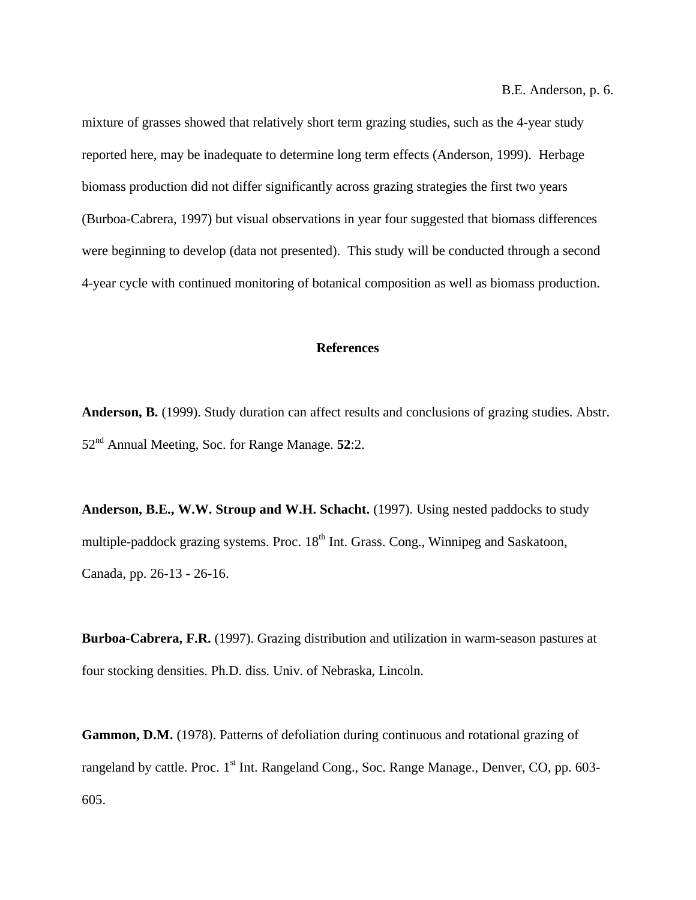B.E. Anderson, p. 6.

mixture of grasses showed that relatively short term grazing studies, such as the 4-year study reported here, may be inadequate to determine long term effects (Anderson, 1999). Herbage biomass production did not differ significantly across grazing strategies the first two years (Burboa-Cabrera, 1997) but visual observations in year four suggested that biomass differences were beginning to develop (data not presented). This study will be conducted through a second 4-year cycle with continued monitoring of botanical composition as well as biomass production.

#### **References**

**Anderson, B.** (1999). Study duration can affect results and conclusions of grazing studies. Abstr. 52nd Annual Meeting, Soc. for Range Manage. **52**:2.

**Anderson, B.E., W.W. Stroup and W.H. Schacht.** (1997). Using nested paddocks to study multiple-paddock grazing systems. Proc. 18<sup>th</sup> Int. Grass. Cong., Winnipeg and Saskatoon, Canada, pp. 26-13 - 26-16.

**Burboa-Cabrera, F.R.** (1997). Grazing distribution and utilization in warm-season pastures at four stocking densities. Ph.D. diss. Univ. of Nebraska, Lincoln.

**Gammon, D.M.** (1978). Patterns of defoliation during continuous and rotational grazing of rangeland by cattle. Proc. 1<sup>st</sup> Int. Rangeland Cong., Soc. Range Manage., Denver, CO, pp. 603-605.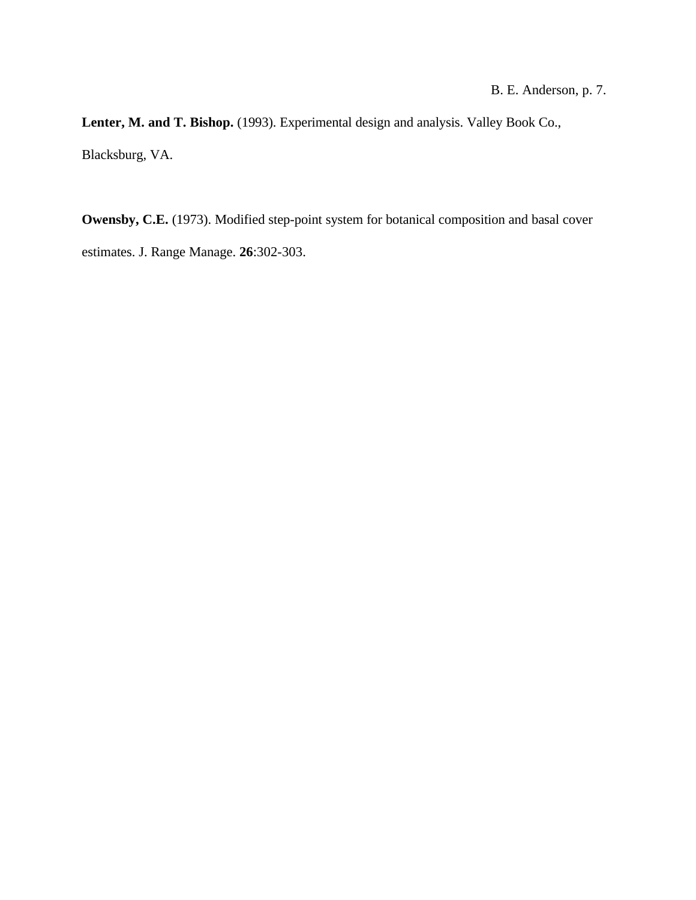#### B. E. Anderson, p. 7.

**Lenter, M. and T. Bishop.** (1993). Experimental design and analysis. Valley Book Co., Blacksburg, VA.

**Owensby, C.E.** (1973). Modified step-point system for botanical composition and basal cover estimates. J. Range Manage. **26**:302-303.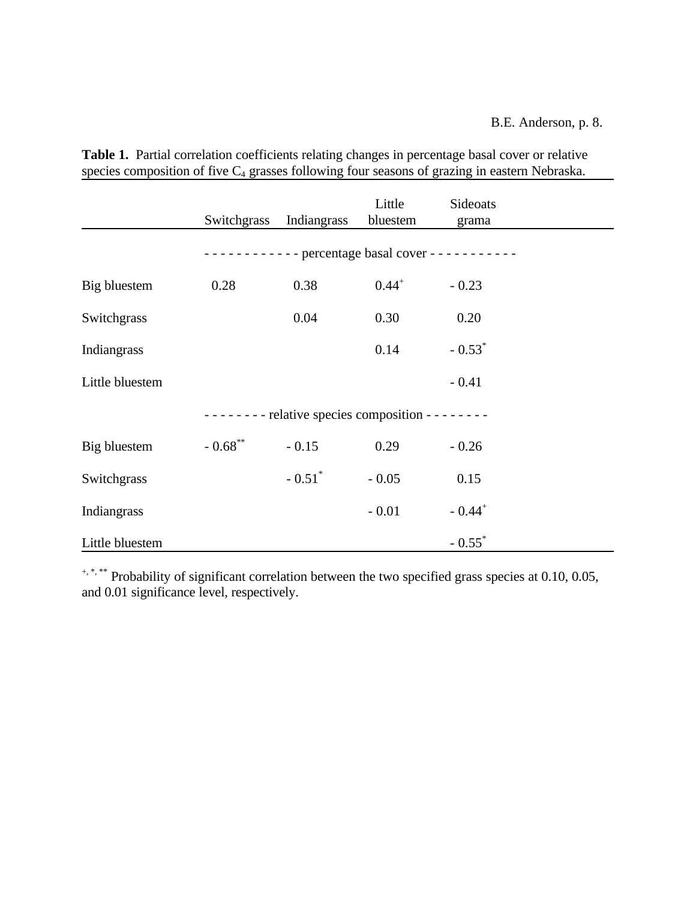|                                                     | Switchgrass                                           | Indiangrass          | Little<br>bluestem | Sideoats<br>grama    |  |  |  |  |
|-----------------------------------------------------|-------------------------------------------------------|----------------------|--------------------|----------------------|--|--|--|--|
|                                                     | $------$ percentage basal cover - - - - - - - - - - - |                      |                    |                      |  |  |  |  |
| Big bluestem                                        | 0.28                                                  | 0.38                 | $0.44^{+}$         | $-0.23$              |  |  |  |  |
| Switchgrass                                         |                                                       | 0.04                 | 0.30               | 0.20                 |  |  |  |  |
| Indiangrass                                         |                                                       |                      | 0.14               | $-0.53$ <sup>*</sup> |  |  |  |  |
| Little bluestem                                     |                                                       |                      |                    | $-0.41$              |  |  |  |  |
| $------$ relative species composition - - - - - - - |                                                       |                      |                    |                      |  |  |  |  |
| Big bluestem                                        | $-0.68$ **                                            | $-0.15$              | 0.29               | $-0.26$              |  |  |  |  |
| Switchgrass                                         |                                                       | $-0.51$ <sup>*</sup> | $-0.05$            | 0.15                 |  |  |  |  |
| Indiangrass                                         |                                                       |                      | $-0.01$            | $-0.44$ <sup>+</sup> |  |  |  |  |
| Little bluestem                                     |                                                       |                      |                    | $-0.55$ <sup>*</sup> |  |  |  |  |

**Table 1.** Partial correlation coefficients relating changes in percentage basal cover or relative species composition of five C<sub>4</sub> grasses following four seasons of grazing in eastern Nebraska.

+, \*, \*\* Probability of significant correlation between the two specified grass species at 0.10, 0.05, and 0.01 significance level, respectively.